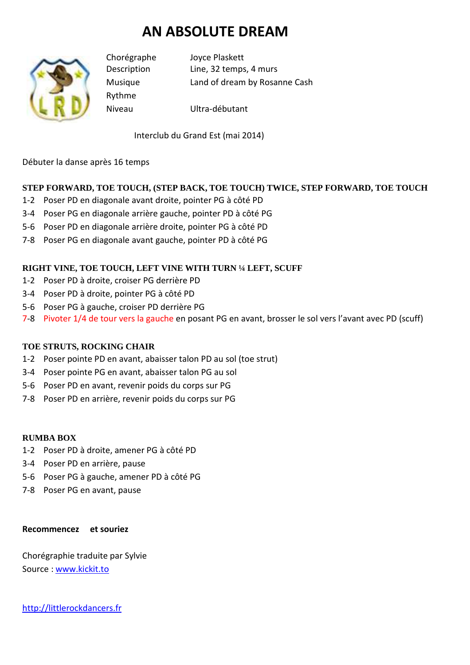# **AN ABSOLUTE DREAM**



Rythme

Chorégraphe Joyce Plaskett Description Line, 32 temps, 4 murs Musique Land of dream by Rosanne Cash

Niveau Ultra-débutant

Interclub du Grand Est (mai 2014)

Débuter la danse après 16 temps

## **STEP FORWARD, TOE TOUCH, (STEP BACK, TOE TOUCH) TWICE, STEP FORWARD, TOE TOUCH**

- 1-2 Poser PD en diagonale avant droite, pointer PG à côté PD
- 3-4 Poser PG en diagonale arrière gauche, pointer PD à côté PG
- 5-6 Poser PD en diagonale arrière droite, pointer PG à côté PD
- 7-8 Poser PG en diagonale avant gauche, pointer PD à côté PG

### **RIGHT VINE, TOE TOUCH, LEFT VINE WITH TURN ¼ LEFT, SCUFF**

- 1-2 Poser PD à droite, croiser PG derrière PD
- 3-4 Poser PD à droite, pointer PG à côté PD
- 5-6 Poser PG à gauche, croiser PD derrière PG
- 7-8 Pivoter 1/4 de tour vers la gauche en posant PG en avant, brosser le sol vers l'avant avec PD (scuff)

#### **TOE STRUTS, ROCKING CHAIR**

- 1-2 Poser pointe PD en avant, abaisser talon PD au sol (toe strut)
- 3-4 Poser pointe PG en avant, abaisser talon PG au sol
- 5-6 Poser PD en avant, revenir poids du corps sur PG
- 7-8 Poser PD en arrière, revenir poids du corps sur PG

#### **RUMBA BOX**

- 1-2 Poser PD à droite, amener PG à côté PD
- 3-4 Poser PD en arrière, pause
- 5-6 Poser PG à gauche, amener PD à côté PG
- 7-8 Poser PG en avant, pause

#### **Recommencez et souriez**

Chorégraphie traduite par Sylvie Source : www.kickit.to